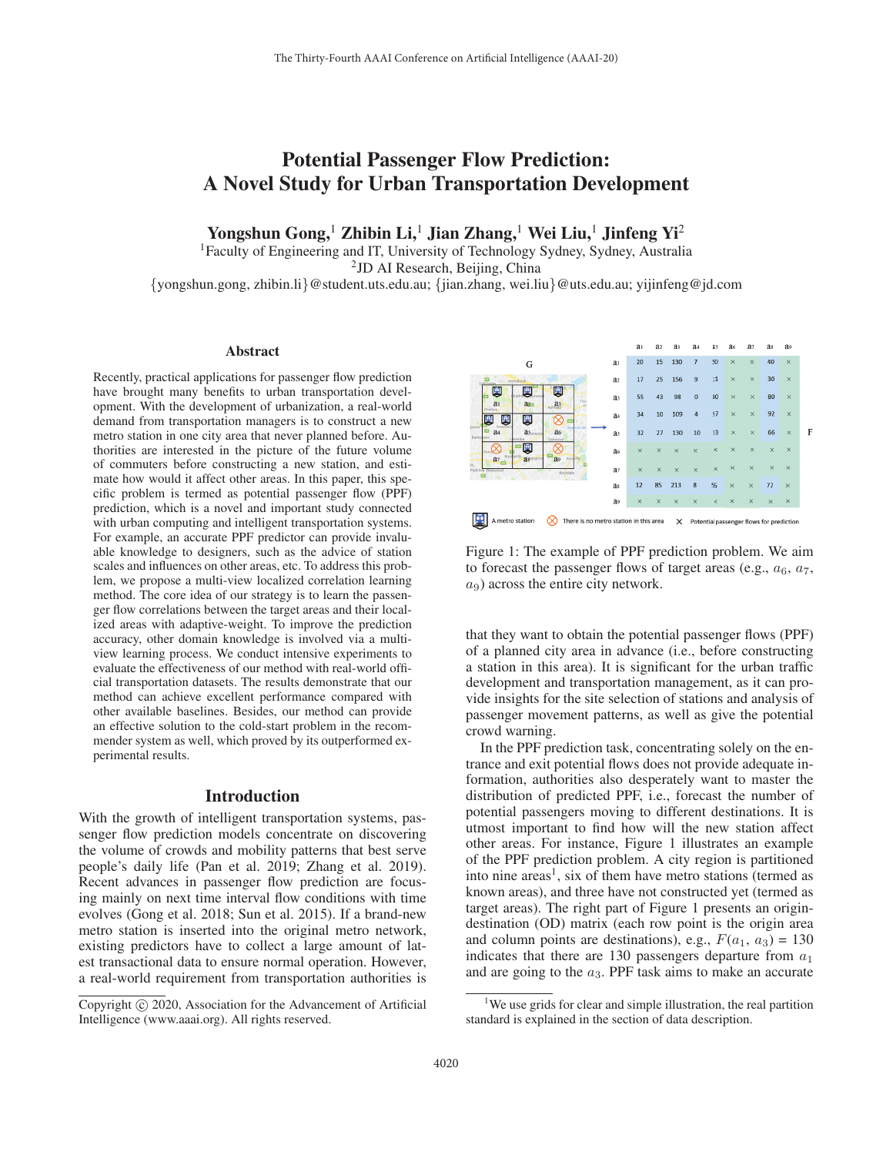# Potential Passenger Flow Prediction: A Novel Study for Urban Transportation Development

Yongshun Gong,<sup>1</sup> Zhibin Li,<sup>1</sup> Jian Zhang,<sup>1</sup> Wei Liu,<sup>1</sup> Jinfeng Yi<sup>2</sup>

1Faculty of Engineering and IT, University of Technology Sydney, Sydney, Australia <sup>2</sup>JD AI Research, Beijing, China

{yongshun.gong, zhibin.li}@student.uts.edu.au; {jian.zhang, wei.liu}@uts.edu.au; yijinfeng@jd.com

### **Abstract**

Recently, practical applications for passenger flow prediction have brought many benefits to urban transportation development. With the development of urbanization, a real-world demand from transportation managers is to construct a new metro station in one city area that never planned before. Authorities are interested in the picture of the future volume of commuters before constructing a new station, and estimate how would it affect other areas. In this paper, this specific problem is termed as potential passenger flow (PPF) prediction, which is a novel and important study connected with urban computing and intelligent transportation systems. For example, an accurate PPF predictor can provide invaluable knowledge to designers, such as the advice of station scales and influences on other areas, etc. To address this problem, we propose a multi-view localized correlation learning method. The core idea of our strategy is to learn the passenger flow correlations between the target areas and their localized areas with adaptive-weight. To improve the prediction accuracy, other domain knowledge is involved via a multiview learning process. We conduct intensive experiments to evaluate the effectiveness of our method with real-world official transportation datasets. The results demonstrate that our method can achieve excellent performance compared with other available baselines. Besides, our method can provide an effective solution to the cold-start problem in the recommender system as well, which proved by its outperformed experimental results.

### Introduction

With the growth of intelligent transportation systems, passenger flow prediction models concentrate on discovering the volume of crowds and mobility patterns that best serve people's daily life (Pan et al. 2019; Zhang et al. 2019). Recent advances in passenger flow prediction are focusing mainly on next time interval flow conditions with time evolves (Gong et al. 2018; Sun et al. 2015). If a brand-new metro station is inserted into the original metro network, existing predictors have to collect a large amount of latest transactional data to ensure normal operation. However, a real-world requirement from transportation authorities is



Figure 1: The example of PPF prediction problem. We aim to forecast the passenger flows of target areas (e.g.,  $a_6$ ,  $a_7$ ,  $a_9$ ) across the entire city network.

that they want to obtain the potential passenger flows (PPF) of a planned city area in advance (i.e., before constructing a station in this area). It is significant for the urban traffic development and transportation management, as it can provide insights for the site selection of stations and analysis of passenger movement patterns, as well as give the potential crowd warning.

In the PPF prediction task, concentrating solely on the entrance and exit potential flows does not provide adequate information, authorities also desperately want to master the distribution of predicted PPF, i.e., forecast the number of potential passengers moving to different destinations. It is utmost important to find how will the new station affect other areas. For instance, Figure 1 illustrates an example of the PPF prediction problem. A city region is partitioned into nine areas<sup>1</sup>, six of them have metro stations (termed as known areas), and three have not constructed yet (termed as target areas). The right part of Figure 1 presents an origindestination (OD) matrix (each row point is the origin area and column points are destinations), e.g.,  $F(a_1, a_3) = 130$ indicates that there are 130 passengers departure from  $a_1$ and are going to the  $a_3$ . PPF task aims to make an accurate

Copyright  $\odot$  2020, Association for the Advancement of Artificial Intelligence (www.aaai.org). All rights reserved.

<sup>&</sup>lt;sup>1</sup>We use grids for clear and simple illustration, the real partition standard is explained in the section of data description.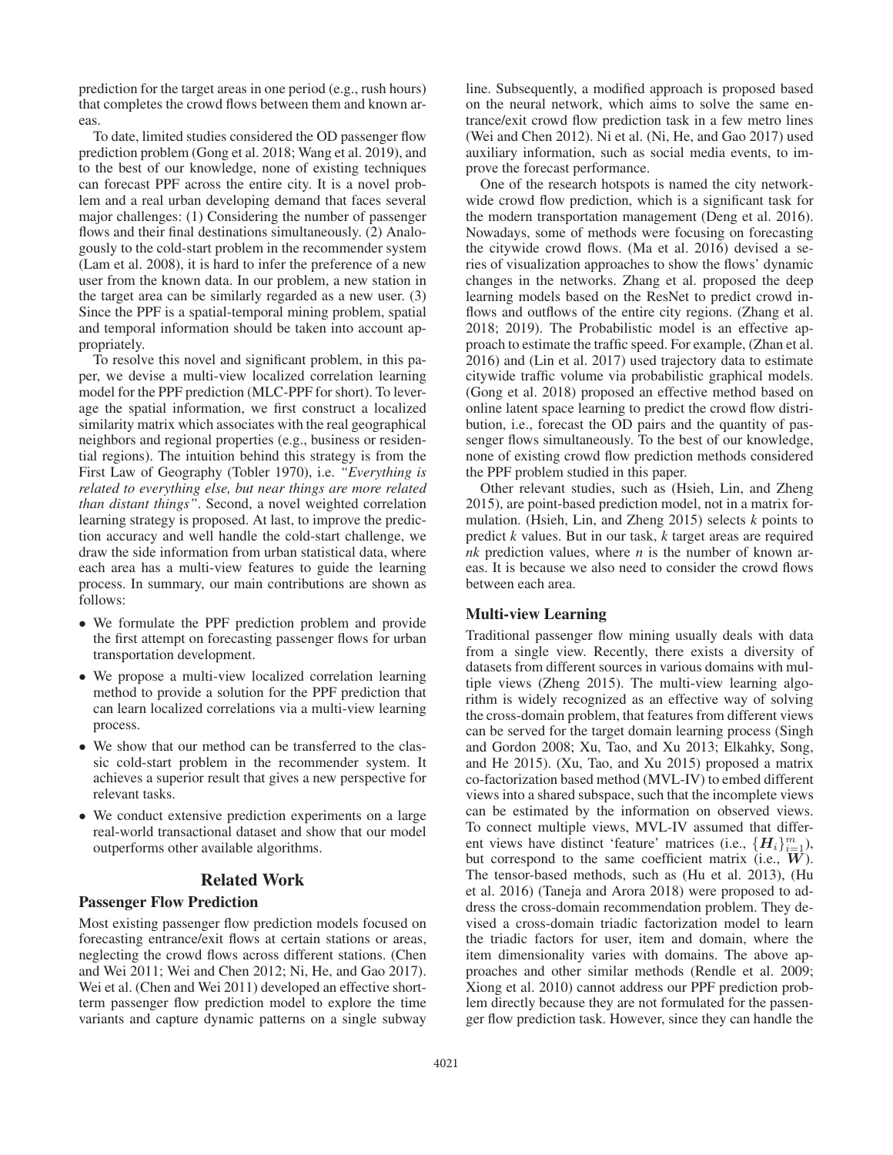prediction for the target areas in one period (e.g., rush hours) that completes the crowd flows between them and known areas.

To date, limited studies considered the OD passenger flow prediction problem (Gong et al. 2018; Wang et al. 2019), and to the best of our knowledge, none of existing techniques can forecast PPF across the entire city. It is a novel problem and a real urban developing demand that faces several major challenges: (1) Considering the number of passenger flows and their final destinations simultaneously. (2) Analogously to the cold-start problem in the recommender system (Lam et al. 2008), it is hard to infer the preference of a new user from the known data. In our problem, a new station in the target area can be similarly regarded as a new user. (3) Since the PPF is a spatial-temporal mining problem, spatial and temporal information should be taken into account appropriately.

To resolve this novel and significant problem, in this paper, we devise a multi-view localized correlation learning model for the PPF prediction (MLC-PPF for short). To leverage the spatial information, we first construct a localized similarity matrix which associates with the real geographical neighbors and regional properties (e.g., business or residential regions). The intuition behind this strategy is from the First Law of Geography (Tobler 1970), i.e. *"Everything is related to everything else, but near things are more related than distant things"*. Second, a novel weighted correlation learning strategy is proposed. At last, to improve the prediction accuracy and well handle the cold-start challenge, we draw the side information from urban statistical data, where each area has a multi-view features to guide the learning process. In summary, our main contributions are shown as follows:

- We formulate the PPF prediction problem and provide the first attempt on forecasting passenger flows for urban transportation development.
- We propose a multi-view localized correlation learning method to provide a solution for the PPF prediction that can learn localized correlations via a multi-view learning process.
- We show that our method can be transferred to the classic cold-start problem in the recommender system. It achieves a superior result that gives a new perspective for relevant tasks.
- We conduct extensive prediction experiments on a large real-world transactional dataset and show that our model outperforms other available algorithms.

# Related Work

### Passenger Flow Prediction

Most existing passenger flow prediction models focused on forecasting entrance/exit flows at certain stations or areas, neglecting the crowd flows across different stations. (Chen and Wei 2011; Wei and Chen 2012; Ni, He, and Gao 2017). Wei et al. (Chen and Wei 2011) developed an effective shortterm passenger flow prediction model to explore the time variants and capture dynamic patterns on a single subway

line. Subsequently, a modified approach is proposed based on the neural network, which aims to solve the same entrance/exit crowd flow prediction task in a few metro lines (Wei and Chen 2012). Ni et al. (Ni, He, and Gao 2017) used auxiliary information, such as social media events, to improve the forecast performance.

One of the research hotspots is named the city networkwide crowd flow prediction, which is a significant task for the modern transportation management (Deng et al. 2016). Nowadays, some of methods were focusing on forecasting the citywide crowd flows. (Ma et al. 2016) devised a series of visualization approaches to show the flows' dynamic changes in the networks. Zhang et al. proposed the deep learning models based on the ResNet to predict crowd inflows and outflows of the entire city regions. (Zhang et al. 2018; 2019). The Probabilistic model is an effective approach to estimate the traffic speed. For example, (Zhan et al. 2016) and (Lin et al. 2017) used trajectory data to estimate citywide traffic volume via probabilistic graphical models. (Gong et al. 2018) proposed an effective method based on online latent space learning to predict the crowd flow distribution, i.e., forecast the OD pairs and the quantity of passenger flows simultaneously. To the best of our knowledge, none of existing crowd flow prediction methods considered the PPF problem studied in this paper.

Other relevant studies, such as (Hsieh, Lin, and Zheng 2015), are point-based prediction model, not in a matrix formulation. (Hsieh, Lin, and Zheng 2015) selects *k* points to predict *k* values. But in our task, *k* target areas are required *nk* prediction values, where *n* is the number of known areas. It is because we also need to consider the crowd flows between each area.

# Multi-view Learning

Traditional passenger flow mining usually deals with data from a single view. Recently, there exists a diversity of datasets from different sources in various domains with multiple views (Zheng 2015). The multi-view learning algorithm is widely recognized as an effective way of solving the cross-domain problem, that features from different views can be served for the target domain learning process (Singh and Gordon 2008; Xu, Tao, and Xu 2013; Elkahky, Song, and He 2015). (Xu, Tao, and Xu 2015) proposed a matrix co-factorization based method (MVL-IV) to embed different views into a shared subspace, such that the incomplete views can be estimated by the information on observed views. To connect multiple views, MVL-IV assumed that different views have distinct 'feature' matrices (i.e.,  $\{H_i\}_{i=1}^m$ ), but correspond to the same coefficient matrix (i.e., *W*). The tensor-based methods, such as (Hu et al. 2013), (Hu et al. 2016) (Taneja and Arora 2018) were proposed to address the cross-domain recommendation problem. They devised a cross-domain triadic factorization model to learn the triadic factors for user, item and domain, where the item dimensionality varies with domains. The above approaches and other similar methods (Rendle et al. 2009; Xiong et al. 2010) cannot address our PPF prediction problem directly because they are not formulated for the passenger flow prediction task. However, since they can handle the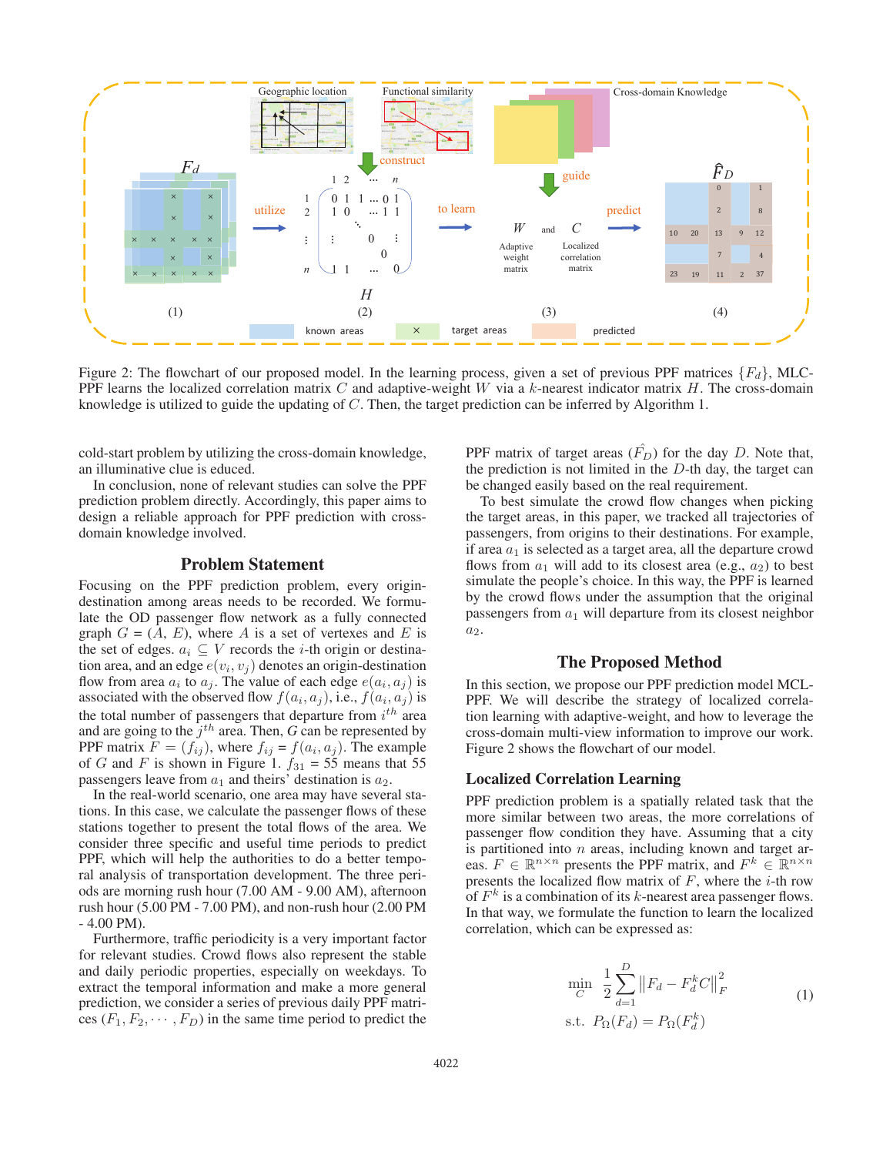

Figure 2: The flowchart of our proposed model. In the learning process, given a set of previous PPF matrices  ${F_d}$ , MLC-PPF learns the localized correlation matrix  $C$  and adaptive-weight  $W$  via a k-nearest indicator matrix  $H$ . The cross-domain knowledge is utilized to guide the updating of C. Then, the target prediction can be inferred by Algorithm 1.

cold-start problem by utilizing the cross-domain knowledge, an illuminative clue is educed.

In conclusion, none of relevant studies can solve the PPF prediction problem directly. Accordingly, this paper aims to design a reliable approach for PPF prediction with crossdomain knowledge involved.

### Problem Statement

Focusing on the PPF prediction problem, every origindestination among areas needs to be recorded. We formulate the OD passenger flow network as a fully connected graph  $G = (A, E)$ , where A is a set of vertexes and E is the set of edges.  $a_i \subseteq V$  records the *i*-th origin or destination area, and an edge  $e(v_i, v_j)$  denotes an origin-destination flow from area  $a_i$  to  $a_j$ . The value of each edge  $e(a_i, a_j)$  is associated with the observed flow  $f(a_i, a_j)$ , i.e.,  $f(a_i, a_j)$  is the total number of passengers that departure from  $i^{th}$  area and are going to the  $j<sup>th</sup>$  area. Then, *G* can be represented by PPF matrix  $F = (f_{ij})$ , where  $f_{ij} = f(a_i, a_j)$ . The example of G and F is shown in Figure 1.  $f_{31} = 55$  means that 55 passengers leave from  $a_1$  and theirs' destination is  $a_2$ .

In the real-world scenario, one area may have several stations. In this case, we calculate the passenger flows of these stations together to present the total flows of the area. We consider three specific and useful time periods to predict PPF, which will help the authorities to do a better temporal analysis of transportation development. The three periods are morning rush hour (7.00 AM - 9.00 AM), afternoon rush hour (5.00 PM - 7.00 PM), and non-rush hour (2.00 PM - 4.00 PM).

Furthermore, traffic periodicity is a very important factor for relevant studies. Crowd flows also represent the stable and daily periodic properties, especially on weekdays. To extract the temporal information and make a more general prediction, we consider a series of previous daily PPF matrices  $(F_1, F_2, \dots, F_D)$  in the same time period to predict the

PPF matrix of target areas  $(\hat{F}_D)$  for the day D. Note that, the prediction is not limited in the  $D$ -th day, the target can be changed easily based on the real requirement.

To best simulate the crowd flow changes when picking the target areas, in this paper, we tracked all trajectories of passengers, from origins to their destinations. For example, if area  $a_1$  is selected as a target area, all the departure crowd flows from  $a_1$  will add to its closest area (e.g.,  $a_2$ ) to best simulate the people's choice. In this way, the PPF is learned by the crowd flows under the assumption that the original passengers from  $a_1$  will departure from its closest neighbor  $a<sub>2</sub>$ .

# The Proposed Method

In this section, we propose our PPF prediction model MCL-PPF. We will describe the strategy of localized correlation learning with adaptive-weight, and how to leverage the cross-domain multi-view information to improve our work. Figure 2 shows the flowchart of our model.

# Localized Correlation Learning

PPF prediction problem is a spatially related task that the more similar between two areas, the more correlations of passenger flow condition they have. Assuming that a city is partitioned into  $n$  areas, including known and target areas.  $F \in \mathbb{R}^{n \times n}$  presents the PPF matrix, and  $F^k \in \mathbb{R}^{n \times n}$ presents the localized flow matrix of  $F$ , where the *i*-th row of  $F<sup>k</sup>$  is a combination of its k-nearest area passenger flows. In that way, we formulate the function to learn the localized correlation, which can be expressed as:

$$
\min_{C} \frac{1}{2} \sum_{d=1}^{D} ||F_d - F_d^k C||_F^2
$$
\n
$$
\text{s.t. } P_{\Omega}(F_d) = P_{\Omega}(F_d^k) \tag{1}
$$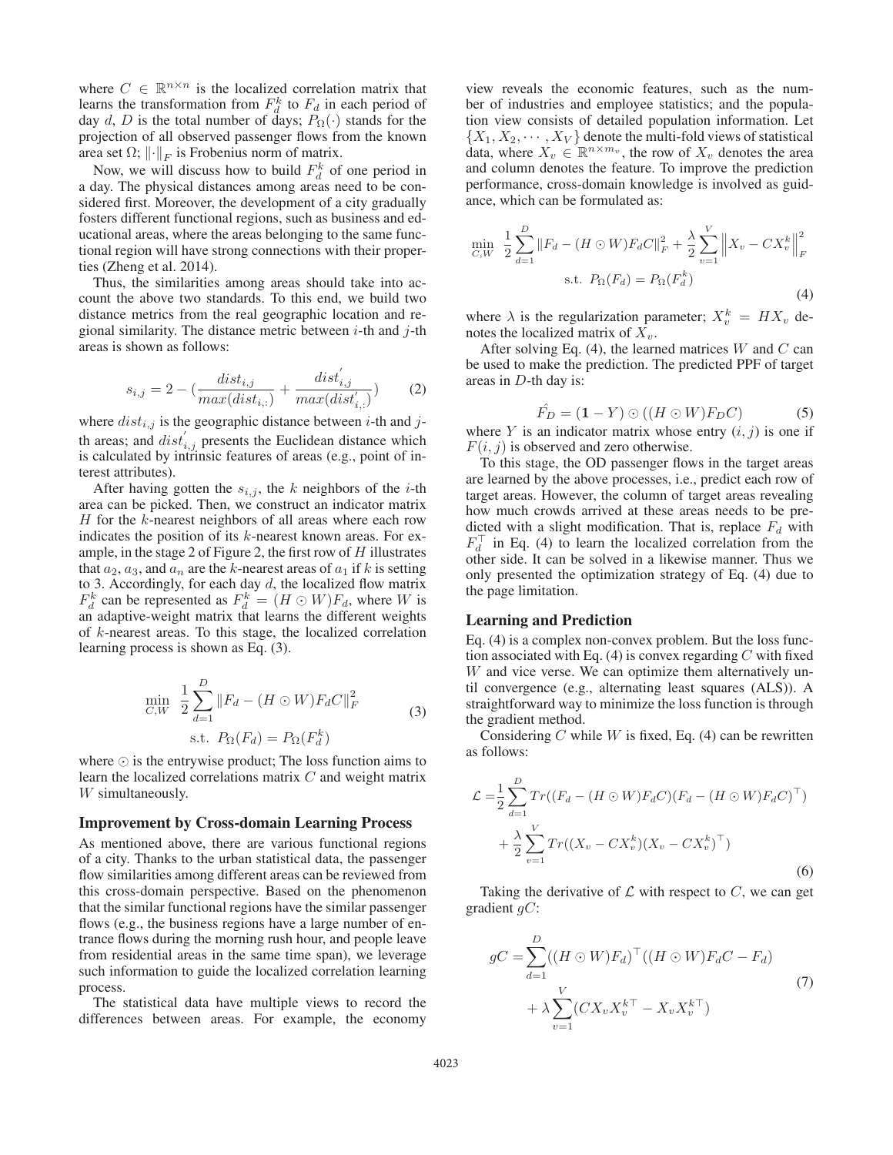where  $C \in \mathbb{R}^{n \times n}$  is the localized correlation matrix that learns the transformation from  $F_d^k$  to  $F_d$  in each period of day d, D is the total number of days;  $P_{\Omega}(\cdot)$  stands for the projection of all observed passenger flows from the known area set  $\Omega$ ;  $\left\|\cdot\right\|_F$  is Frobenius norm of matrix.

Now, we will discuss how to build  $F_d^k$  of one period in a day. The physical distances among areas need to be considered first. Moreover, the development of a city gradually fosters different functional regions, such as business and educational areas, where the areas belonging to the same functional region will have strong connections with their properties (Zheng et al. 2014).

Thus, the similarities among areas should take into account the above two standards. To this end, we build two distance metrics from the real geographic location and regional similarity. The distance metric between  $i$ -th and  $j$ -th areas is shown as follows:

$$
s_{i,j} = 2 - \left(\frac{dist_{i,j}}{max(dist_{i,:})} + \frac{dist'_{i,j}}{max(dist'_{i,:})}\right) \tag{2}
$$

where  $dist_{i,j}$  is the geographic distance between *i*-th and *j*th areas; and  $dist'_{i,j}$  presents the Euclidean distance which is calculated by intrinsic features of areas (e.g., point of interest attributes).

After having gotten the  $s_{i,j}$ , the k neighbors of the *i*-th area can be picked. Then, we construct an indicator matrix  $H$  for the  $k$ -nearest neighbors of all areas where each row indicates the position of its k-nearest known areas. For example, in the stage 2 of Figure 2, the first row of  $H$  illustrates that  $a_2$ ,  $a_3$ , and  $a_n$  are the k-nearest areas of  $a_1$  if k is setting to 3. Accordingly, for each day  $d$ , the localized flow matrix  $F_d^k$  can be represented as  $F_d^k = (H \odot W)F_d$ , where W is an adaptive-weight matrix that learns the different weights of k-nearest areas. To this stage, the localized correlation learning process is shown as Eq. (3).

$$
\min_{C,W} \frac{1}{2} \sum_{d=1}^{D} \|F_d - (H \odot W)F_d C\|_F^2
$$
\n
$$
\text{s.t. } P_{\Omega}(F_d) = P_{\Omega}(F_d^k) \tag{3}
$$

where  $\odot$  is the entrywise product; The loss function aims to learn the localized correlations matrix C and weight matrix W simultaneously.

#### Improvement by Cross-domain Learning Process

As mentioned above, there are various functional regions of a city. Thanks to the urban statistical data, the passenger flow similarities among different areas can be reviewed from this cross-domain perspective. Based on the phenomenon that the similar functional regions have the similar passenger flows (e.g., the business regions have a large number of entrance flows during the morning rush hour, and people leave from residential areas in the same time span), we leverage such information to guide the localized correlation learning process.

The statistical data have multiple views to record the differences between areas. For example, the economy

view reveals the economic features, such as the number of industries and employee statistics; and the population view consists of detailed population information. Let  $\{X_1, X_2, \cdots, X_V\}$  denote the multi-fold views of statistical data, where  $X_v \in \mathbb{R}^{n \times m_v}$ , the row of  $X_v$  denotes the area and column denotes the feature. To improve the prediction performance, cross-domain knowledge is involved as guidance, which can be formulated as:

$$
\min_{C,W} \frac{1}{2} \sum_{d=1}^{D} \|F_d - (H \odot W)F_dC\|_F^2 + \frac{\lambda}{2} \sum_{v=1}^{V} \left\|X_v - CX_v^k\right\|_F^2
$$
\n
$$
\text{s.t. } P_{\Omega}(F_d) = P_{\Omega}(F_d^k) \tag{4}
$$

where  $\lambda$  is the regularization parameter;  $X_n^k = H X_v$  denotes the localized matrix of  $X_v$ .

After solving Eq.  $(4)$ , the learned matrices W and C can be used to make the prediction. The predicted PPF of target areas in D-th day is:

$$
\hat{F_D} = (1 - Y) \odot ((H \odot W)F_D C) \tag{5}
$$

where Y is an indicator matrix whose entry  $(i, j)$  is one if  $F(i, j)$  is observed and zero otherwise.

To this stage, the OD passenger flows in the target areas are learned by the above processes, i.e., predict each row of target areas. However, the column of target areas revealing how much crowds arrived at these areas needs to be predicted with a slight modification. That is, replace  $F_d$  with  $F_d^{\perp}$  in Eq. (4) to learn the localized correlation from the other side. It can be solved in a likewise manner. Thus we only presented the optimization strategy of Eq. (4) due to the page limitation.

### Learning and Prediction

Eq. (4) is a complex non-convex problem. But the loss function associated with Eq. (4) is convex regarding  $C$  with fixed W and vice verse. We can optimize them alternatively until convergence (e.g., alternating least squares (ALS)). A straightforward way to minimize the loss function is through the gradient method.

Considering  $C$  while  $W$  is fixed, Eq. (4) can be rewritten as follows:

$$
\mathcal{L} = \frac{1}{2} \sum_{d=1}^{D} Tr((F_d - (H \odot W)F_dC)(F_d - (H \odot W)F_dC)^{\top})
$$
  
+ 
$$
\frac{\lambda}{2} \sum_{v=1}^{V} Tr((X_v - CX_v^k)(X_v - CX_v^k)^{\top})
$$
(6)

Taking the derivative of  $\mathcal L$  with respect to C, we can get gradient  $qC$ :

$$
gC = \sum_{d=1}^{D} ((H \odot W)F_d)^\top ((H \odot W)F_dC - F_d)
$$
  
+ 
$$
\lambda \sum_{v=1}^{V} (CX_v X_v^{k\top} - X_v X_v^{k\top})
$$
 (7)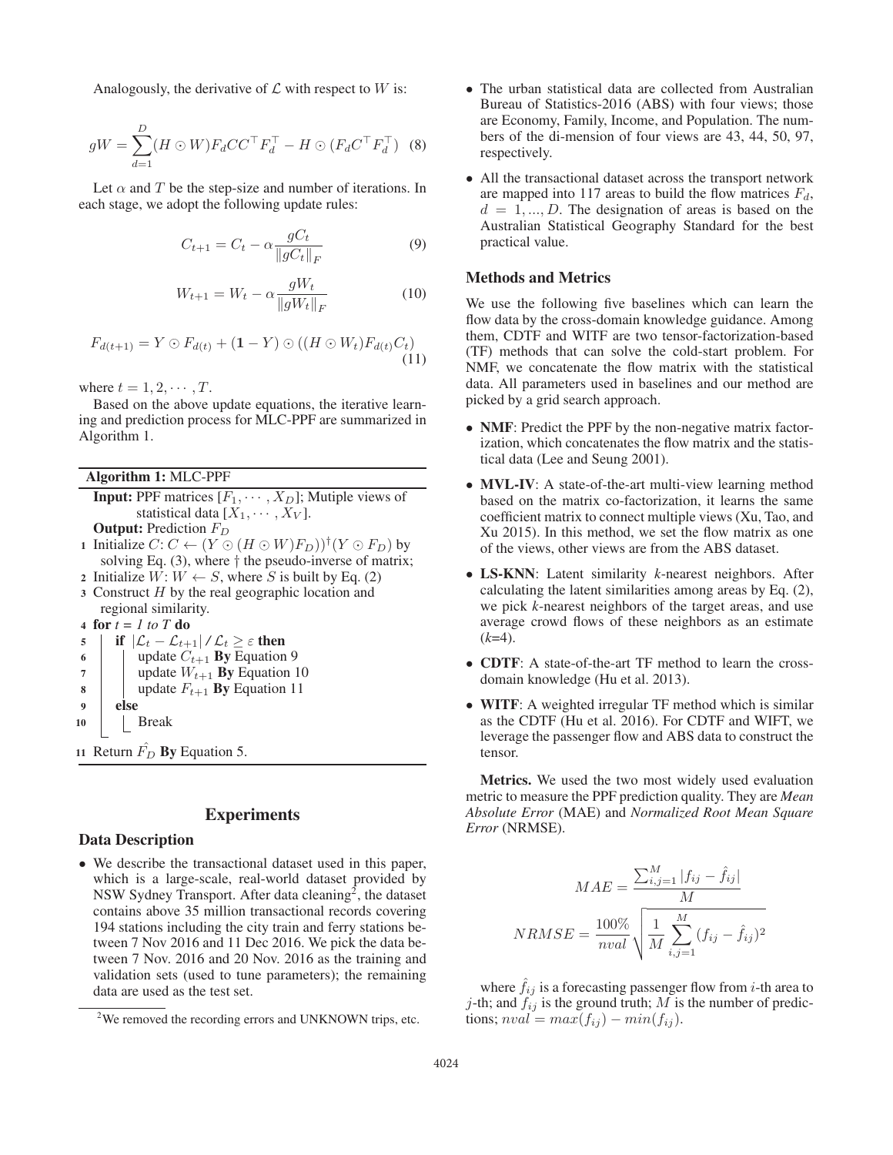Analogously, the derivative of  $\mathcal L$  with respect to  $W$  is:

$$
gW = \sum_{d=1}^{D} (H \odot W) F_d C C^{\top} F_d^{\top} - H \odot (F_d C^{\top} F_d^{\top})
$$
 (8)

Let  $\alpha$  and T be the step-size and number of iterations. In each stage, we adopt the following update rules:

$$
C_{t+1} = C_t - \alpha \frac{gC_t}{\|gC_t\|_F}
$$
 (9)

$$
W_{t+1} = W_t - \alpha \frac{gW_t}{\|gW_t\|_F}
$$
 (10)

$$
F_{d(t+1)} = Y \odot F_{d(t)} + (1 - Y) \odot ((H \odot W_t) F_{d(t)} C_t)
$$
\n(11)

where  $t = 1, 2, \cdots, T$ .

Based on the above update equations, the iterative learning and prediction process for MLC-PPF are summarized in Algorithm 1.

Algorithm 1: MLC-PPF

- **Input:** PPF matrices  $[F_1, \cdots, X_D]$ ; Mutiple views of statistical data  $[X_1, \cdots, X_V]$ . **Output:** Prediction  $F_D$
- 1 Initialize  $C: C \leftarrow (Y \odot (H \odot W)F_D))^{\dagger} (Y \odot F_D)$  by solving Eq.  $(3)$ , where  $\dagger$  the pseudo-inverse of matrix;
- 2 Initialize  $W: W \leftarrow S$ , where S is built by Eq. (2)
- $3$  Construct  $H$  by the real geographic location and regional similarity.

4 for  $t = 1$  to  $T$  do

5 | if  $|\mathcal{L}_t - \mathcal{L}_{t+1}| / \mathcal{L}_t \geq \varepsilon$  then

6 | | update  $C_{t+1}$  **By** Equation 9

- 7 | update  $W_{t+1}$  **By** Equation 10
- 8 | update  $F_{t+1}$  By Equation 11
- <sup>9</sup> else
- <sup>10</sup> Break

11 Return  $\hat{F}_D$  By Equation 5.

# **Experiments**

# Data Description

• We describe the transactional dataset used in this paper, which is a large-scale, real-world dataset provided by NSW Sydney Transport. After data cleaning<sup>2</sup>, the dataset contains above 35 million transactional records covering 194 stations including the city train and ferry stations between 7 Nov 2016 and 11 Dec 2016. We pick the data between 7 Nov. 2016 and 20 Nov. 2016 as the training and validation sets (used to tune parameters); the remaining data are used as the test set.

- The urban statistical data are collected from Australian Bureau of Statistics-2016 (ABS) with four views; those are Economy, Family, Income, and Population. The numbers of the di-mension of four views are 43, 44, 50, 97, respectively.
- All the transactional dataset across the transport network are mapped into 117 areas to build the flow matrices  $F_d$ ,  $d = 1, ..., D$ . The designation of areas is based on the Australian Statistical Geography Standard for the best practical value.

# Methods and Metrics

We use the following five baselines which can learn the flow data by the cross-domain knowledge guidance. Among them, CDTF and WITF are two tensor-factorization-based (TF) methods that can solve the cold-start problem. For NMF, we concatenate the flow matrix with the statistical data. All parameters used in baselines and our method are picked by a grid search approach.

- **NMF**: Predict the PPF by the non-negative matrix factorization, which concatenates the flow matrix and the statistical data (Lee and Seung 2001).
- **MVL-IV**: A state-of-the-art multi-view learning method based on the matrix co-factorization, it learns the same coefficient matrix to connect multiple views (Xu, Tao, and Xu 2015). In this method, we set the flow matrix as one of the views, other views are from the ABS dataset.
- LS-KNN: Latent similarity *k*-nearest neighbors. After calculating the latent similarities among areas by Eq. (2), we pick *k*-nearest neighbors of the target areas, and use average crowd flows of these neighbors as an estimate  $(k=4)$ .
- CDTF: A state-of-the-art TF method to learn the crossdomain knowledge (Hu et al. 2013).
- WITF: A weighted irregular TF method which is similar as the CDTF (Hu et al. 2016). For CDTF and WIFT, we leverage the passenger flow and ABS data to construct the tensor.

Metrics. We used the two most widely used evaluation metric to measure the PPF prediction quality. They are *Mean Absolute Error* (MAE) and *Normalized Root Mean Square Error* (NRMSE).

$$
MAE = \frac{\sum_{i,j=1}^{M} |f_{ij} - \hat{f}_{ij}|}{M}
$$

$$
NRMSE = \frac{100\%}{nval} \sqrt{\frac{1}{M} \sum_{i,j=1}^{M} (f_{ij} - \hat{f}_{ij})^2}
$$

where  $f_{ij}$  is a forecasting passenger flow from *i*-th area to j-th; and  $f_{ij}$  is the ground truth; M is the number of predictions;  $nval = max(f_{ij}) - min(f_{ij}).$ 

<sup>&</sup>lt;sup>2</sup>We removed the recording errors and UNKNOWN trips, etc.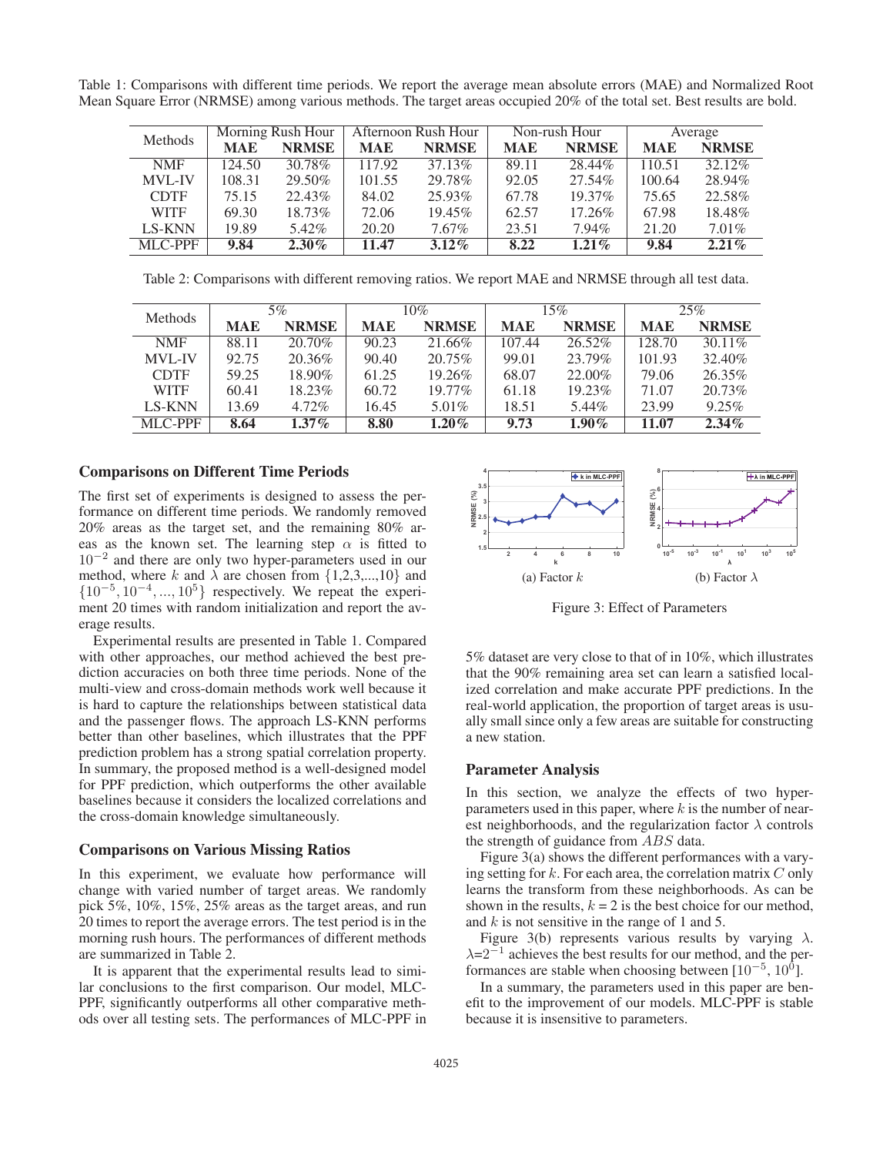Table 1: Comparisons with different time periods. We report the average mean absolute errors (MAE) and Normalized Root Mean Square Error (NRMSE) among various methods. The target areas occupied 20% of the total set. Best results are bold.

| Methods       | Morning Rush Hour |              | Afternoon Rush Hour |              | Non-rush Hour |              | Average    |              |
|---------------|-------------------|--------------|---------------------|--------------|---------------|--------------|------------|--------------|
|               | <b>MAE</b>        | <b>NRMSE</b> | <b>MAE</b>          | <b>NRMSE</b> | <b>MAE</b>    | <b>NRMSE</b> | <b>MAE</b> | <b>NRMSE</b> |
| <b>NMF</b>    | 124.50            | 30.78%       | 117.92              | 37.13%       | 89.11         | 28.44%       | 110.51     | 32.12%       |
| <b>MVL-IV</b> | 108.31            | 29.50%       | 101.55              | 29.78%       | 92.05         | 27.54%       | 100.64     | 28.94%       |
| <b>CDTF</b>   | 75.15             | 22.43%       | 84.02               | 25.93%       | 67.78         | $19.37\%$    | 75.65      | 22.58%       |
| <b>WITF</b>   | 69.30             | 18.73%       | 72.06               | $19.45\%$    | 62.57         | 17.26\%      | 67.98      | 18.48%       |
| <b>LS-KNN</b> | 19.89             | 5.42%        | 20.20               | $7.67\%$     | 23.51         | $7.94\%$     | 21.20      | $7.01\%$     |
| MLC-PPF       | 9.84              | $2.30\%$     | 11.47               | $3.12\%$     | 8.22          | $1.21\%$     | 9.84       | $2.21\%$     |

Table 2: Comparisons with different removing ratios. We report MAE and NRMSE through all test data.

| Methods       | 5%         |              | 10%        |              | 15%        |              | 25%        |              |
|---------------|------------|--------------|------------|--------------|------------|--------------|------------|--------------|
|               | <b>MAE</b> | <b>NRMSE</b> | <b>MAE</b> | <b>NRMSE</b> | <b>MAE</b> | <b>NRMSE</b> | <b>MAE</b> | <b>NRMSE</b> |
| <b>NMF</b>    | 88.11      | 20.70%       | 90.23      | 21.66%       | 107.44     | $26.52\%$    | 128.70     | $30.11\%$    |
| <b>MVL-IV</b> | 92.75      | 20.36\%      | 90.40      | 20.75%       | 99.01      | 23.79%       | 101.93     | 32.40\%      |
| <b>CDTF</b>   | 59.25      | 18.90%       | 61.25      | 19.26%       | 68.07      | 22.00%       | 79.06      | 26.35%       |
| <b>WITF</b>   | 60.41      | 18.23%       | 60.72      | $19.77\%$    | 61.18      | $19.23\%$    | 71.07      | 20.73%       |
| <b>LS-KNN</b> | 13.69      | 4.72%        | 16.45      | $5.01\%$     | 18.51      | 5.44%        | 23.99      | 9.25%        |
| MLC-PPF       | 8.64       | $1.37\%$     | 8.80       | $1.20\%$     | 9.73       | $1.90\%$     | 11.07      | $2.34\%$     |

# Comparisons on Different Time Periods

The first set of experiments is designed to assess the performance on different time periods. We randomly removed 20% areas as the target set, and the remaining 80% areas as the known set. The learning step  $\alpha$  is fitted to 10−<sup>2</sup> and there are only two hyper-parameters used in our method, where k and  $\lambda$  are chosen from  $\{1,2,3,...,10\}$  and  $\{10^{-5}, 10^{-4}, ..., 10^{5}\}$  respectively. We repeat the experiment 20 times with random initialization and report the average results.

Experimental results are presented in Table 1. Compared with other approaches, our method achieved the best prediction accuracies on both three time periods. None of the multi-view and cross-domain methods work well because it is hard to capture the relationships between statistical data and the passenger flows. The approach LS-KNN performs better than other baselines, which illustrates that the PPF prediction problem has a strong spatial correlation property. In summary, the proposed method is a well-designed model for PPF prediction, which outperforms the other available baselines because it considers the localized correlations and the cross-domain knowledge simultaneously.

### Comparisons on Various Missing Ratios

In this experiment, we evaluate how performance will change with varied number of target areas. We randomly pick 5%, 10%, 15%, 25% areas as the target areas, and run 20 times to report the average errors. The test period is in the morning rush hours. The performances of different methods are summarized in Table 2.

It is apparent that the experimental results lead to similar conclusions to the first comparison. Our model, MLC-PPF, significantly outperforms all other comparative methods over all testing sets. The performances of MLC-PPF in



Figure 3: Effect of Parameters

5% dataset are very close to that of in 10%, which illustrates that the 90% remaining area set can learn a satisfied localized correlation and make accurate PPF predictions. In the real-world application, the proportion of target areas is usually small since only a few areas are suitable for constructing a new station.

### Parameter Analysis

In this section, we analyze the effects of two hyperparameters used in this paper, where  $k$  is the number of nearest neighborhoods, and the regularization factor  $\lambda$  controls the strength of guidance from ABS data.

Figure 3(a) shows the different performances with a varying setting for  $k$ . For each area, the correlation matrix  $C$  only learns the transform from these neighborhoods. As can be shown in the results,  $k = 2$  is the best choice for our method, and  $k$  is not sensitive in the range of 1 and 5.

Figure 3(b) represents various results by varying  $\lambda$ .  $\lambda$ =2<sup>-1</sup> achieves the best results for our method, and the performances are stable when choosing between  $[10^{-5}, 10^{0}]$ .

In a summary, the parameters used in this paper are benefit to the improvement of our models. MLC-PPF is stable because it is insensitive to parameters.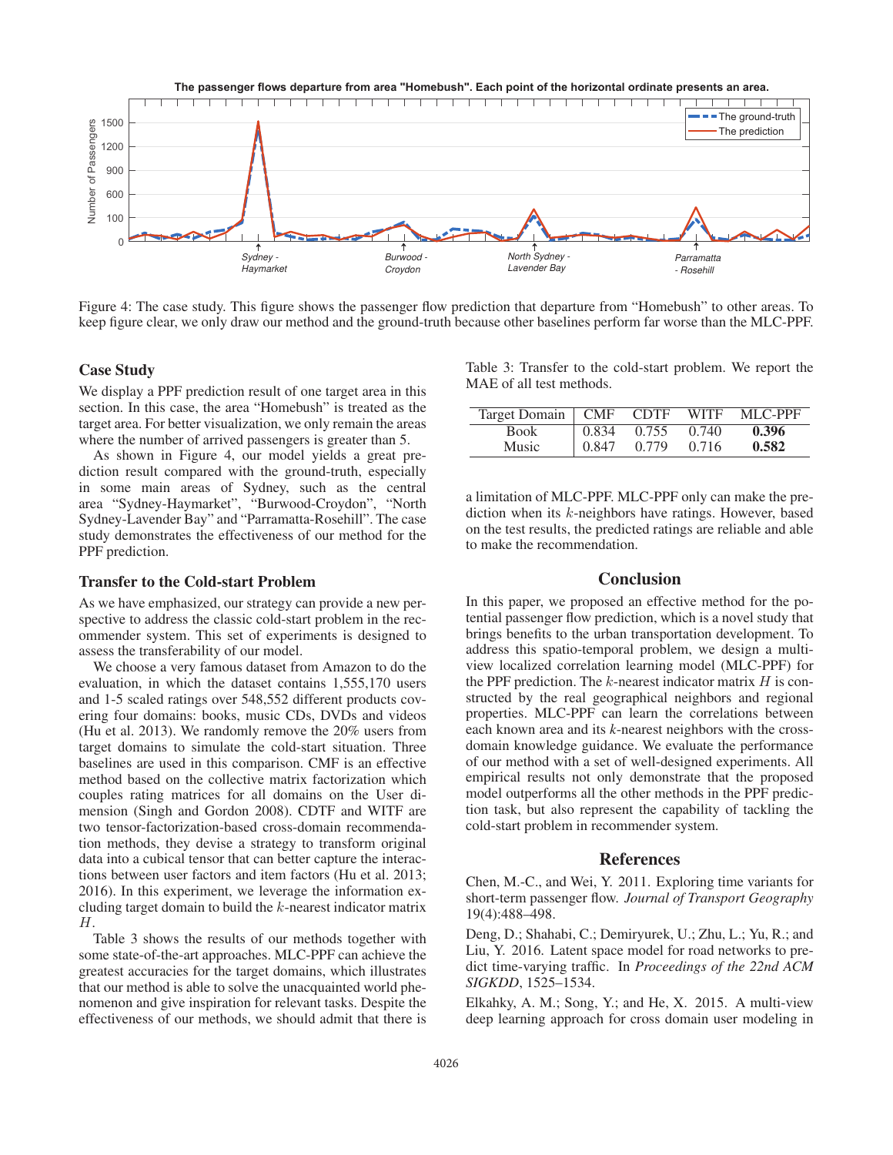

Figure 4: The case study. This figure shows the passenger flow prediction that departure from "Homebush" to other areas. To keep figure clear, we only draw our method and the ground-truth because other baselines perform far worse than the MLC-PPF.

## Case Study

We display a PPF prediction result of one target area in this section. In this case, the area "Homebush" is treated as the target area. For better visualization, we only remain the areas where the number of arrived passengers is greater than 5.

As shown in Figure 4, our model yields a great prediction result compared with the ground-truth, especially in some main areas of Sydney, such as the central area "Sydney-Haymarket", "Burwood-Croydon", "North Sydney-Lavender Bay" and "Parramatta-Rosehill". The case study demonstrates the effectiveness of our method for the PPF prediction.

### Transfer to the Cold-start Problem

As we have emphasized, our strategy can provide a new perspective to address the classic cold-start problem in the recommender system. This set of experiments is designed to assess the transferability of our model.

We choose a very famous dataset from Amazon to do the evaluation, in which the dataset contains 1,555,170 users and 1-5 scaled ratings over 548,552 different products covering four domains: books, music CDs, DVDs and videos (Hu et al. 2013). We randomly remove the 20% users from target domains to simulate the cold-start situation. Three baselines are used in this comparison. CMF is an effective method based on the collective matrix factorization which couples rating matrices for all domains on the User dimension (Singh and Gordon 2008). CDTF and WITF are two tensor-factorization-based cross-domain recommendation methods, they devise a strategy to transform original data into a cubical tensor that can better capture the interactions between user factors and item factors (Hu et al. 2013; 2016). In this experiment, we leverage the information excluding target domain to build the k-nearest indicator matrix H.

Table 3 shows the results of our methods together with some state-of-the-art approaches. MLC-PPF can achieve the greatest accuracies for the target domains, which illustrates that our method is able to solve the unacquainted world phenomenon and give inspiration for relevant tasks. Despite the effectiveness of our methods, we should admit that there is

Table 3: Transfer to the cold-start problem. We report the MAE of all test methods.

| Target Domain   CMF |       | CDTF  | <b>WITF</b> | MLC-PPF |
|---------------------|-------|-------|-------------|---------|
| <b>Book</b>         | 0.834 | 0.755 | 0.740       | 0.396   |
| Music               | 0.847 | 0.779 | 0.716       | 0.582   |

a limitation of MLC-PPF. MLC-PPF only can make the prediction when its k-neighbors have ratings. However, based on the test results, the predicted ratings are reliable and able to make the recommendation.

# **Conclusion**

In this paper, we proposed an effective method for the potential passenger flow prediction, which is a novel study that brings benefits to the urban transportation development. To address this spatio-temporal problem, we design a multiview localized correlation learning model (MLC-PPF) for the PPF prediction. The  $k$ -nearest indicator matrix  $H$  is constructed by the real geographical neighbors and regional properties. MLC-PPF can learn the correlations between each known area and its *k*-nearest neighbors with the crossdomain knowledge guidance. We evaluate the performance of our method with a set of well-designed experiments. All empirical results not only demonstrate that the proposed model outperforms all the other methods in the PPF prediction task, but also represent the capability of tackling the cold-start problem in recommender system.

### References

Chen, M.-C., and Wei, Y. 2011. Exploring time variants for short-term passenger flow. *Journal of Transport Geography* 19(4):488–498.

Deng, D.; Shahabi, C.; Demiryurek, U.; Zhu, L.; Yu, R.; and Liu, Y. 2016. Latent space model for road networks to predict time-varying traffic. In *Proceedings of the 22nd ACM SIGKDD*, 1525–1534.

Elkahky, A. M.; Song, Y.; and He, X. 2015. A multi-view deep learning approach for cross domain user modeling in